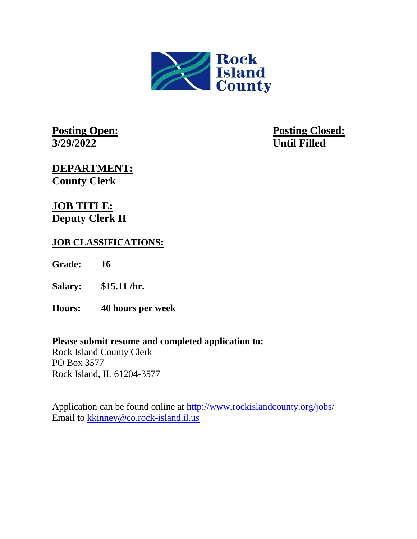

**3/29/2022 Until Filled** 

**Posting Open: Posting Closed:** 

**DEPARTMENT: County Clerk**

**JOB TITLE: Deputy Clerk II**

# **JOB CLASSIFICATIONS:**

**Grade: 16**

**Salary: \$15.11 /hr.**

**Hours: 40 hours per week**

## **Please submit resume and completed application to:**

Rock Island County Clerk PO Box 3577 Rock Island, IL 61204-3577

Application can be found online at<http://www.rockislandcounty.org/jobs/> Email to [kkinney@co.rock-island.il.us](mailto:kkinney@co.rock-island.il.us)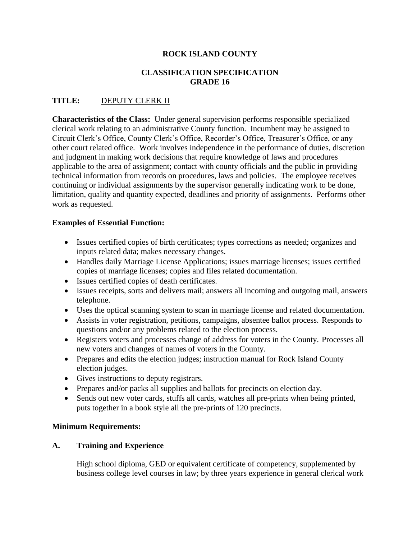### **ROCK ISLAND COUNTY**

### **CLASSIFICATION SPECIFICATION GRADE 16**

### **TITLE:** DEPUTY CLERK II

**Characteristics of the Class:** Under general supervision performs responsible specialized clerical work relating to an administrative County function. Incumbent may be assigned to Circuit Clerk's Office, County Clerk's Office, Recorder's Office, Treasurer's Office, or any other court related office. Work involves independence in the performance of duties, discretion and judgment in making work decisions that require knowledge of laws and procedures applicable to the area of assignment; contact with county officials and the public in providing technical information from records on procedures, laws and policies. The employee receives continuing or individual assignments by the supervisor generally indicating work to be done, limitation, quality and quantity expected, deadlines and priority of assignments. Performs other work as requested.

#### **Examples of Essential Function:**

- Issues certified copies of birth certificates; types corrections as needed; organizes and inputs related data; makes necessary changes.
- Handles daily Marriage License Applications; issues marriage licenses; issues certified copies of marriage licenses; copies and files related documentation.
- Issues certified copies of death certificates.
- Issues receipts, sorts and delivers mail; answers all incoming and outgoing mail, answers telephone.
- Uses the optical scanning system to scan in marriage license and related documentation.
- Assists in voter registration, petitions, campaigns, absentee ballot process. Responds to questions and/or any problems related to the election process.
- Registers voters and processes change of address for voters in the County. Processes all new voters and changes of names of voters in the County.
- Prepares and edits the election judges; instruction manual for Rock Island County election judges.
- Gives instructions to deputy registrars.
- Prepares and/or packs all supplies and ballots for precincts on election day.
- Sends out new voter cards, stuffs all cards, watches all pre-prints when being printed, puts together in a book style all the pre-prints of 120 precincts.

#### **Minimum Requirements:**

#### **A. Training and Experience**

High school diploma, GED or equivalent certificate of competency, supplemented by business college level courses in law; by three years experience in general clerical work